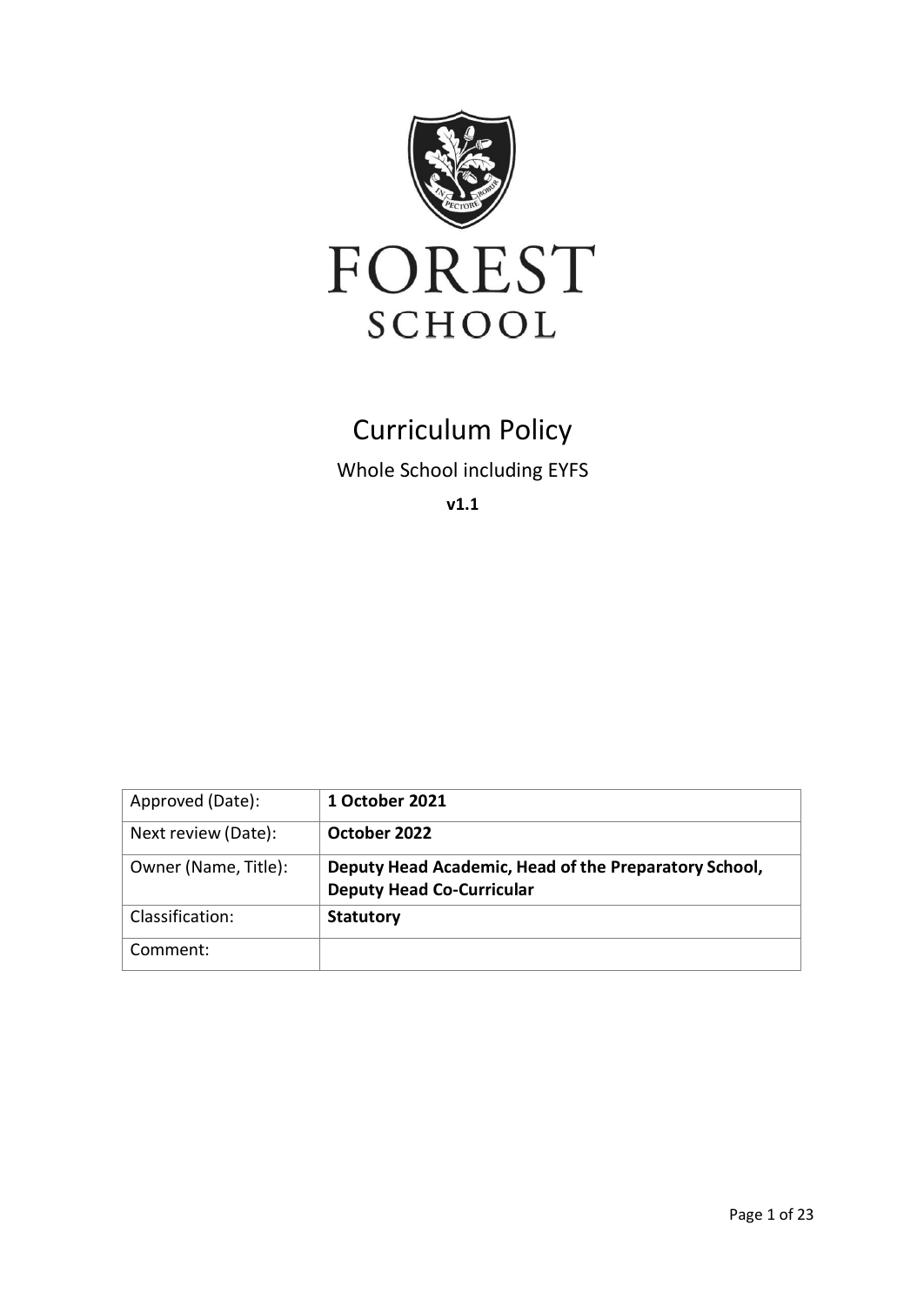

# Curriculum Policy

Whole School including EYFS

**v1.1**

| Approved (Date):     | 1 October 2021                                                                            |
|----------------------|-------------------------------------------------------------------------------------------|
| Next review (Date):  | October 2022                                                                              |
| Owner (Name, Title): | Deputy Head Academic, Head of the Preparatory School,<br><b>Deputy Head Co-Curricular</b> |
| Classification:      | <b>Statutory</b>                                                                          |
| Comment:             |                                                                                           |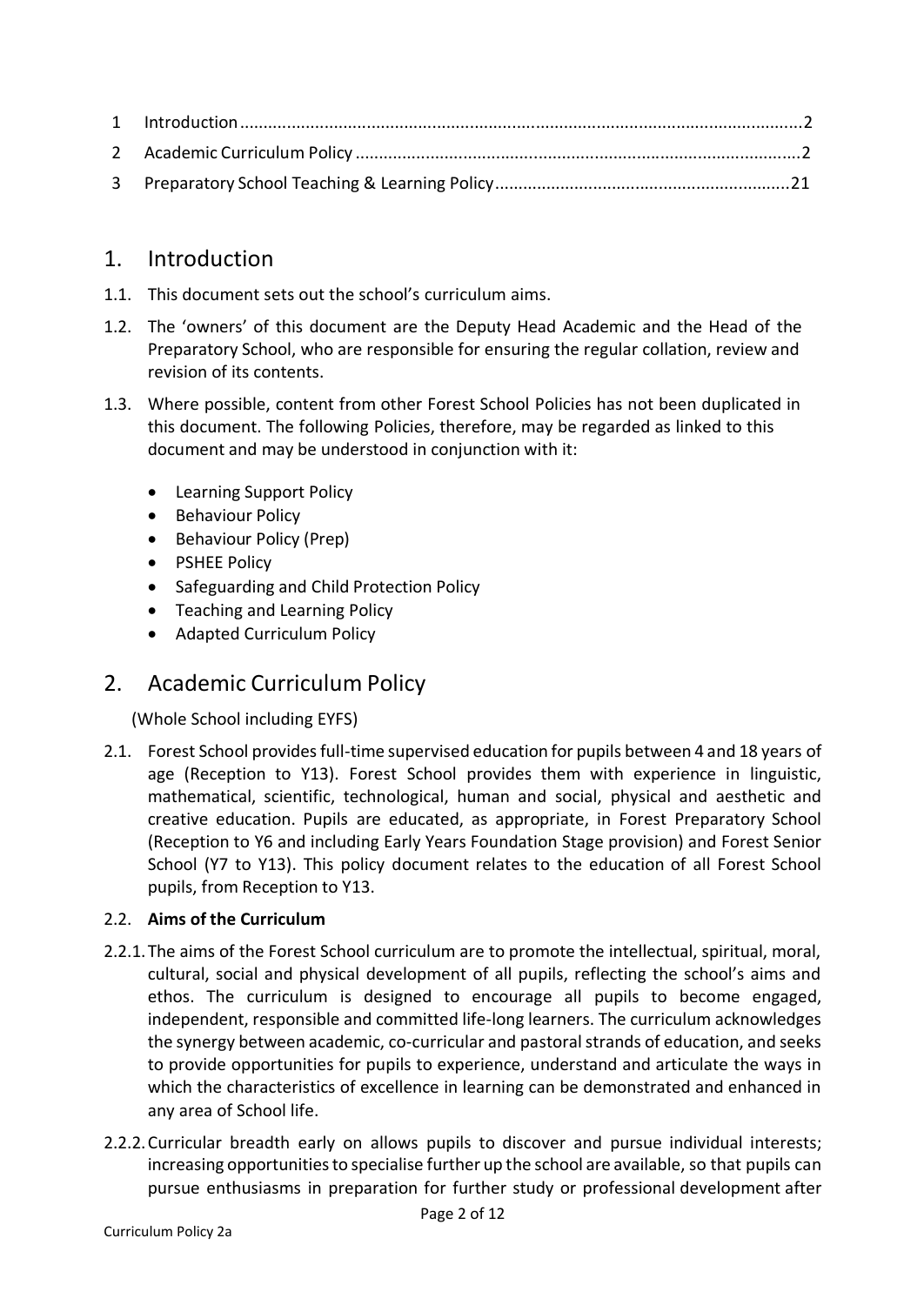# 1. Introduction

- 1.1. This document sets out the school's curriculum aims.
- 1.2. The 'owners' of this document are the Deputy Head Academic and the Head of the Preparatory School, who are responsible for ensuring the regular collation, review and revision of its contents.
- 1.3. Where possible, content from other Forest School Policies has not been duplicated in this document. The following Policies, therefore, may be regarded as linked to this document and may be understood in conjunction with it:
	- Learning Support Policy
	- Behaviour Policy
	- Behaviour Policy (Prep)
	- PSHEE Policy
	- Safeguarding and Child Protection Policy
	- Teaching and Learning Policy
	- Adapted Curriculum Policy

# 2. Academic Curriculum Policy

(Whole School including EYFS)

2.1. Forest School providesfull-time supervised education for pupils between 4 and 18 years of age (Reception to Y13). Forest School provides them with experience in linguistic, mathematical, scientific, technological, human and social, physical and aesthetic and creative education. Pupils are educated, as appropriate, in Forest Preparatory School (Reception to Y6 and including Early Years Foundation Stage provision) and Forest Senior School (Y7 to Y13). This policy document relates to the education of all Forest School pupils, from Reception to Y13.

# 2.2. **Aims of the Curriculum**

- 2.2.1.The aims of the Forest School curriculum are to promote the intellectual, spiritual, moral, cultural, social and physical development of all pupils, reflecting the school's aims and ethos. The curriculum is designed to encourage all pupils to become engaged, independent, responsible and committed life-long learners. The curriculum acknowledges the synergy between academic, co-curricular and pastoral strands of education, and seeks to provide opportunities for pupils to experience, understand and articulate the ways in which the characteristics of excellence in learning can be demonstrated and enhanced in any area of School life.
- 2.2.2.Curricular breadth early on allows pupils to discover and pursue individual interests; increasing opportunitiesto specialise further up the school are available, so that pupils can pursue enthusiasms in preparation for further study or professional development after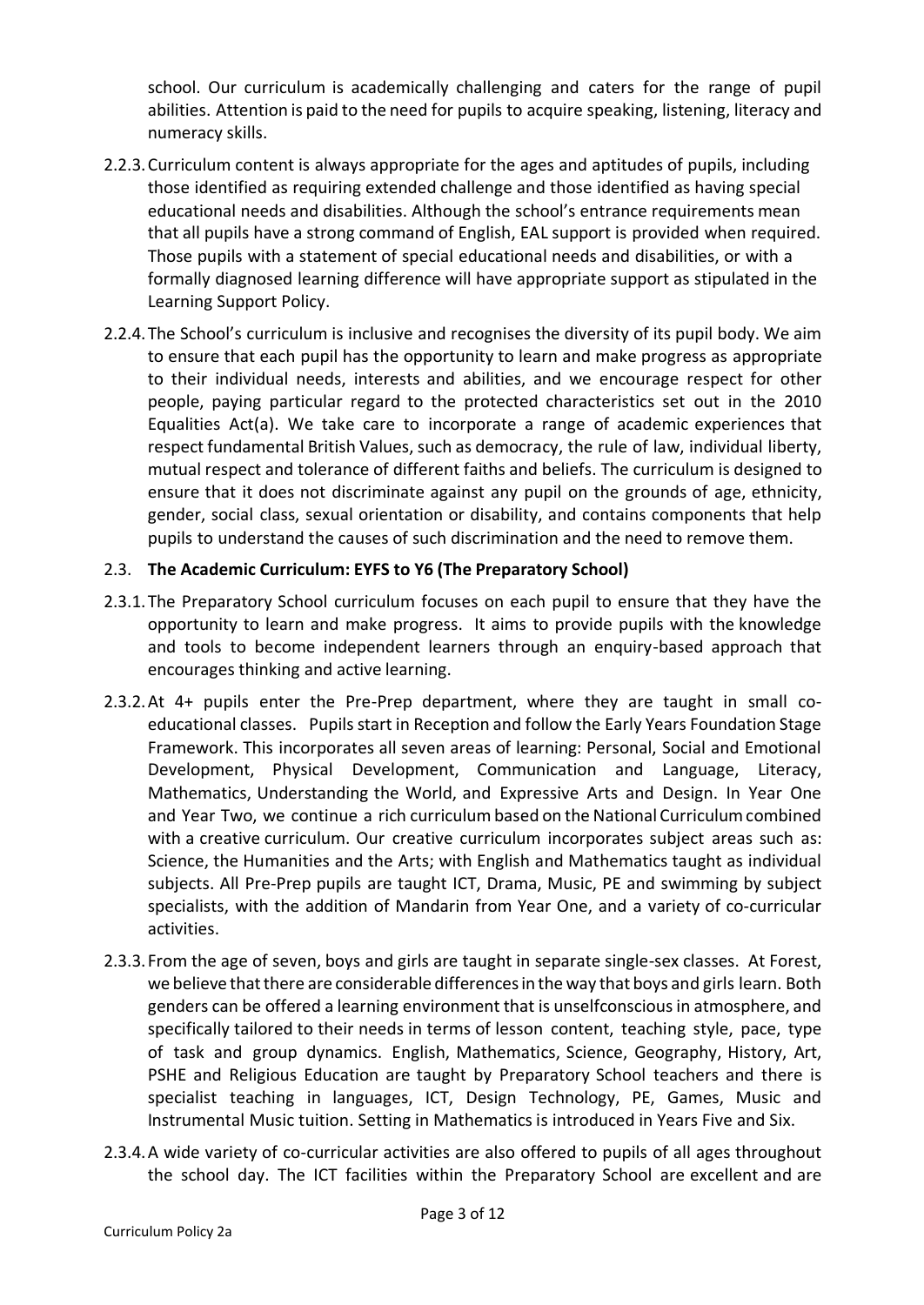school. Our curriculum is academically challenging and caters for the range of pupil abilities. Attention is paid to the need for pupils to acquire speaking, listening, literacy and numeracy skills.

- 2.2.3.Curriculum content is always appropriate for the ages and aptitudes of pupils, including those identified as requiring extended challenge and those identified as having special educational needs and disabilities. Although the school's entrance requirements mean that all pupils have a strong command of English, EAL support is provided when required. Those pupils with a statement of special educational needs and disabilities, or with a formally diagnosed learning difference will have appropriate support as stipulated in the Learning Support Policy.
- 2.2.4.The School's curriculum is inclusive and recognises the diversity of its pupil body. We aim to ensure that each pupil has the opportunity to learn and make progress as appropriate to their individual needs, interests and abilities, and we encourage respect for other people, paying particular regard to the protected characteristics set out in the 2010 Equalities Act(a). We take care to incorporate a range of academic experiences that respect fundamental British Values, such as democracy, the rule of law, individual liberty, mutual respect and tolerance of different faiths and beliefs. The curriculum is designed to ensure that it does not discriminate against any pupil on the grounds of age, ethnicity, gender, social class, sexual orientation or disability, and contains components that help pupils to understand the causes of such discrimination and the need to remove them.

#### 2.3. **The Academic Curriculum: EYFS to Y6 (The Preparatory School)**

- 2.3.1.The Preparatory School curriculum focuses on each pupil to ensure that they have the opportunity to learn and make progress. It aims to provide pupils with the knowledge and tools to become independent learners through an enquiry-based approach that encourages thinking and active learning.
- 2.3.2.At 4+ pupils enter the Pre-Prep department, where they are taught in small coeducational classes. Pupils start in Reception and follow the Early Years Foundation Stage Framework. This incorporates all seven areas of learning: Personal, Social and Emotional Development, Physical Development, Communication and Language, Literacy, Mathematics, Understanding the World, and Expressive Arts and Design. In Year One and Year Two, we continue a rich curriculumbased on the National Curriculumcombined with a creative curriculum. Our creative curriculum incorporates subject areas such as: Science, the Humanities and the Arts; with English and Mathematics taught as individual subjects. All Pre-Prep pupils are taught ICT, Drama, Music, PE and swimming by subject specialists, with the addition of Mandarin from Year One, and a variety of co-curricular activities.
- 2.3.3.From the age of seven, boys and girls are taught in separate single-sex classes. At Forest, we believe that there are considerable differences in the way that boys and girls learn. Both genders can be offered a learning environment that is unselfconsciousin atmosphere, and specifically tailored to their needs in terms of lesson content, teaching style, pace, type of task and group dynamics. English, Mathematics, Science, Geography, History, Art, PSHE and Religious Education are taught by Preparatory School teachers and there is specialist teaching in languages, ICT, Design Technology, PE, Games, Music and Instrumental Music tuition. Setting in Mathematicsis introduced in Years Five and Six.
- 2.3.4.A wide variety of co-curricular activities are also offered to pupils of all ages throughout the school day. The ICT facilities within the Preparatory School are excellent and are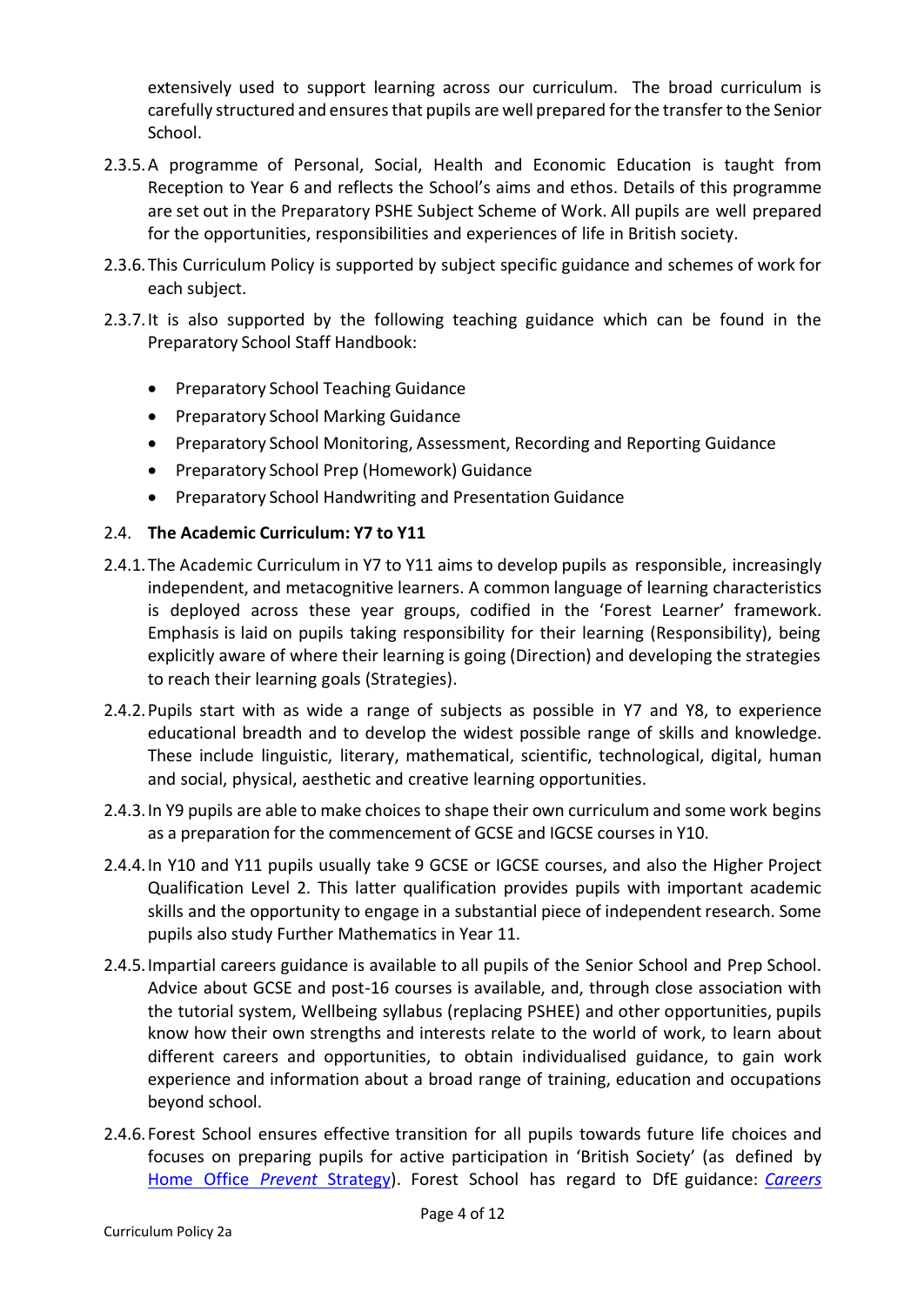extensively used to support learning across our curriculum. The broad curriculum is carefully structured and ensures that pupils are well prepared for the transfer to the Senior School.

- 2.3.5.A programme of Personal, Social, Health and Economic Education is taught from Reception to Year 6 and reflects the School's aims and ethos. Details of this programme are set out in the Preparatory PSHE Subject Scheme of Work. All pupils are well prepared for the opportunities, responsibilities and experiences of life in British society.
- 2.3.6.This Curriculum Policy is supported by subject specific guidance and schemes of work for each subject.
- 2.3.7.It is also supported by the following teaching guidance which can be found in the Preparatory School Staff Handbook:
	- Preparatory School Teaching Guidance
	- Preparatory School Marking Guidance
	- Preparatory School Monitoring, Assessment, Recording and Reporting Guidance
	- Preparatory School Prep (Homework) Guidance
	- Preparatory School Handwriting and Presentation Guidance

#### 2.4. **The Academic Curriculum: Y7 to Y11**

- 2.4.1.The Academic Curriculum in Y7 to Y11 aims to develop pupils as responsible, increasingly independent, and metacognitive learners. A common language of learning characteristics is deployed across these year groups, codified in the 'Forest Learner' framework. Emphasis is laid on pupils taking responsibility for their learning (Responsibility), being explicitly aware of where their learning is going (Direction) and developing the strategies to reach their learning goals (Strategies).
- 2.4.2.Pupils start with as wide a range of subjects as possible in Y7 and Y8, to experience educational breadth and to develop the widest possible range of skills and knowledge. These include linguistic, literary, mathematical, scientific, technological, digital, human and social, physical, aesthetic and creative learning opportunities.
- 2.4.3.In Y9 pupils are able to make choices to shape their own curriculum and some work begins as a preparation for the commencement of GCSE and IGCSE courses in Y10.
- 2.4.4.In Y10 and Y11 pupils usually take 9 GCSE or IGCSE courses, and also the Higher Project Qualification Level 2. This latter qualification provides pupils with important academic skills and the opportunity to engage in a substantial piece of independent research. Some pupils also study Further Mathematics in Year 11.
- 2.4.5.Impartial careers guidance is available to all pupils of the Senior School and Prep School. Advice about GCSE and post-16 courses is available, and, through close association with the tutorial system, Wellbeing syllabus (replacing PSHEE) and other opportunities, pupils know how their own strengths and interests relate to the world of work, to learn about different careers and opportunities, to obtain individualised guidance, to gain work experience and information about a broad range of training, education and occupations beyond school.
- 2.4.6.Forest School ensures effective transition for all pupils towards future life choices and focuses on preparing pupils for active participation in 'British Society' (as defined by Home Office *Prevent* [Strategy\)](https://www.gov.uk/government/publications/prevent-duty-guidance). Forest School has regard to DfE guidance: *[Careers](https://assets.publishing.service.gov.uk/government/uploads/system/uploads/attachment_data/file/748474/181008_schools_statutory_guidance_final.pdf)*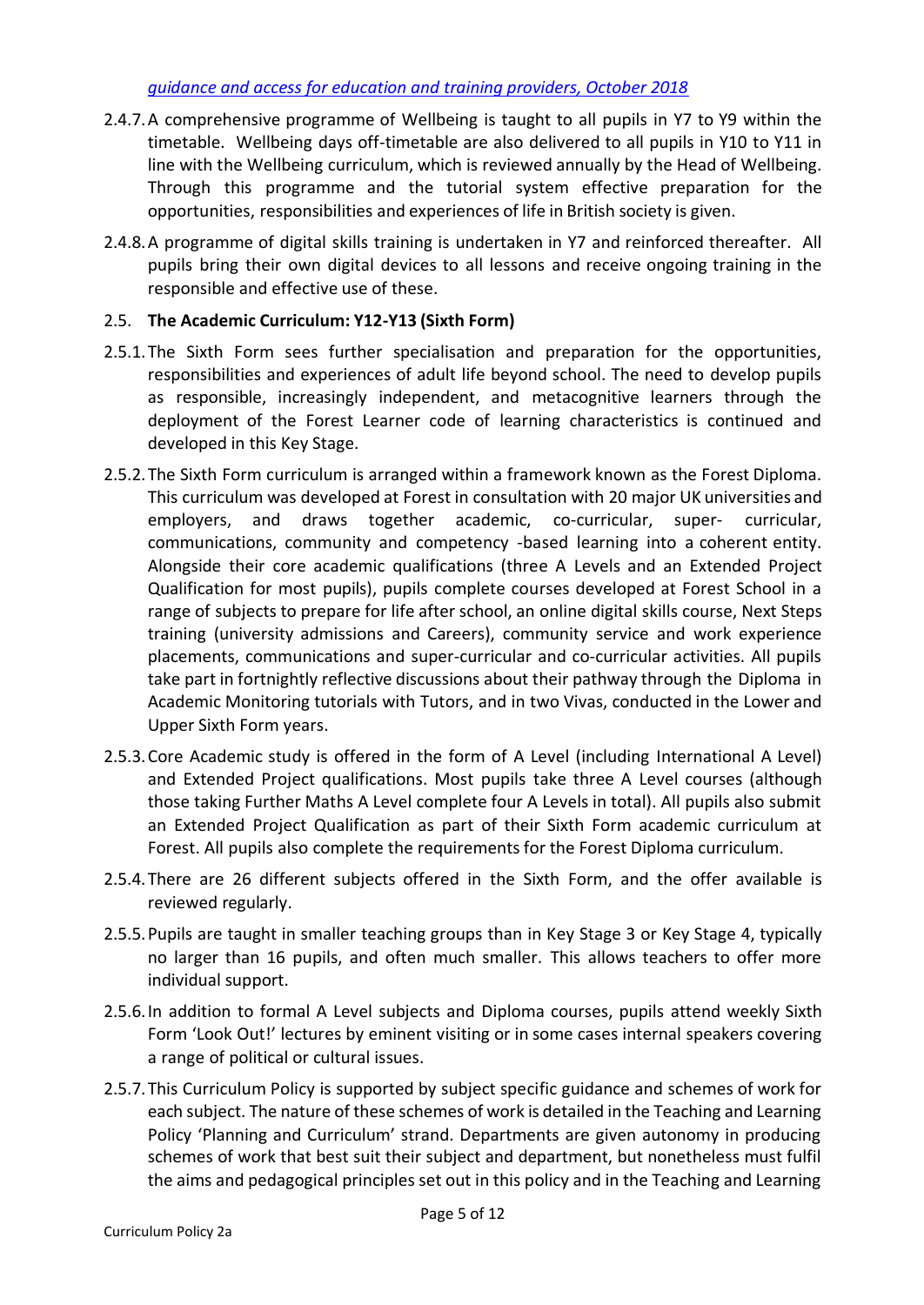- 2.4.7.A comprehensive programme of Wellbeing is taught to all pupils in Y7 to Y9 within the timetable. Wellbeing days off-timetable are also delivered to all pupils in Y10 to Y11 in line with the Wellbeing curriculum, which is reviewed annually by the Head of Wellbeing. Through this programme and the tutorial system effective preparation for the opportunities, responsibilities and experiences of life in British society is given.
- 2.4.8.A programme of digital skills training is undertaken in Y7 and reinforced thereafter. All pupils bring their own digital devices to all lessons and receive ongoing training in the responsible and effective use of these.

### 2.5. **The Academic Curriculum: Y12-Y13 (Sixth Form)**

- 2.5.1.The Sixth Form sees further specialisation and preparation for the opportunities, responsibilities and experiences of adult life beyond school. The need to develop pupils as responsible, increasingly independent, and metacognitive learners through the deployment of the Forest Learner code of learning characteristics is continued and developed in this Key Stage.
- 2.5.2.The Sixth Form curriculum is arranged within a framework known as the Forest Diploma. This curriculum was developed at Forest in consultation with 20 major UK universities and employers, and draws together academic, co-curricular, super- curricular, communications, community and competency -based learning into a coherent entity. Alongside their core academic qualifications (three A Levels and an Extended Project Qualification for most pupils), pupils complete courses developed at Forest School in a range of subjects to prepare for life after school, an online digital skills course, Next Steps training (university admissions and Careers), community service and work experience placements, communications and super-curricular and co-curricular activities. All pupils take part in fortnightly reflective discussions about their pathway through the Diploma in Academic Monitoring tutorials with Tutors, and in two Vivas, conducted in the Lower and Upper Sixth Form years.
- 2.5.3.Core Academic study is offered in the form of A Level (including International A Level) and Extended Project qualifications. Most pupils take three A Level courses (although those taking Further Maths A Level complete four A Levels in total). All pupils also submit an Extended Project Qualification as part of their Sixth Form academic curriculum at Forest. All pupils also complete the requirementsfor the Forest Diploma curriculum.
- 2.5.4.There are 26 different subjects offered in the Sixth Form, and the offer available is reviewed regularly.
- 2.5.5.Pupils are taught in smaller teaching groups than in Key Stage 3 or Key Stage 4, typically no larger than 16 pupils, and often much smaller. This allows teachers to offer more individual support.
- 2.5.6.In addition to formal A Level subjects and Diploma courses, pupils attend weekly Sixth Form 'Look Out!' lectures by eminent visiting or in some cases internal speakers covering a range of political or cultural issues.
- 2.5.7.This Curriculum Policy is supported by subject specific guidance and schemes of work for each subject. The nature of these schemes of work is detailed in the Teaching and Learning Policy 'Planning and Curriculum' strand. Departments are given autonomy in producing schemes of work that best suit their subject and department, but nonetheless must fulfil the aims and pedagogical principles set out in this policy and in the Teaching and Learning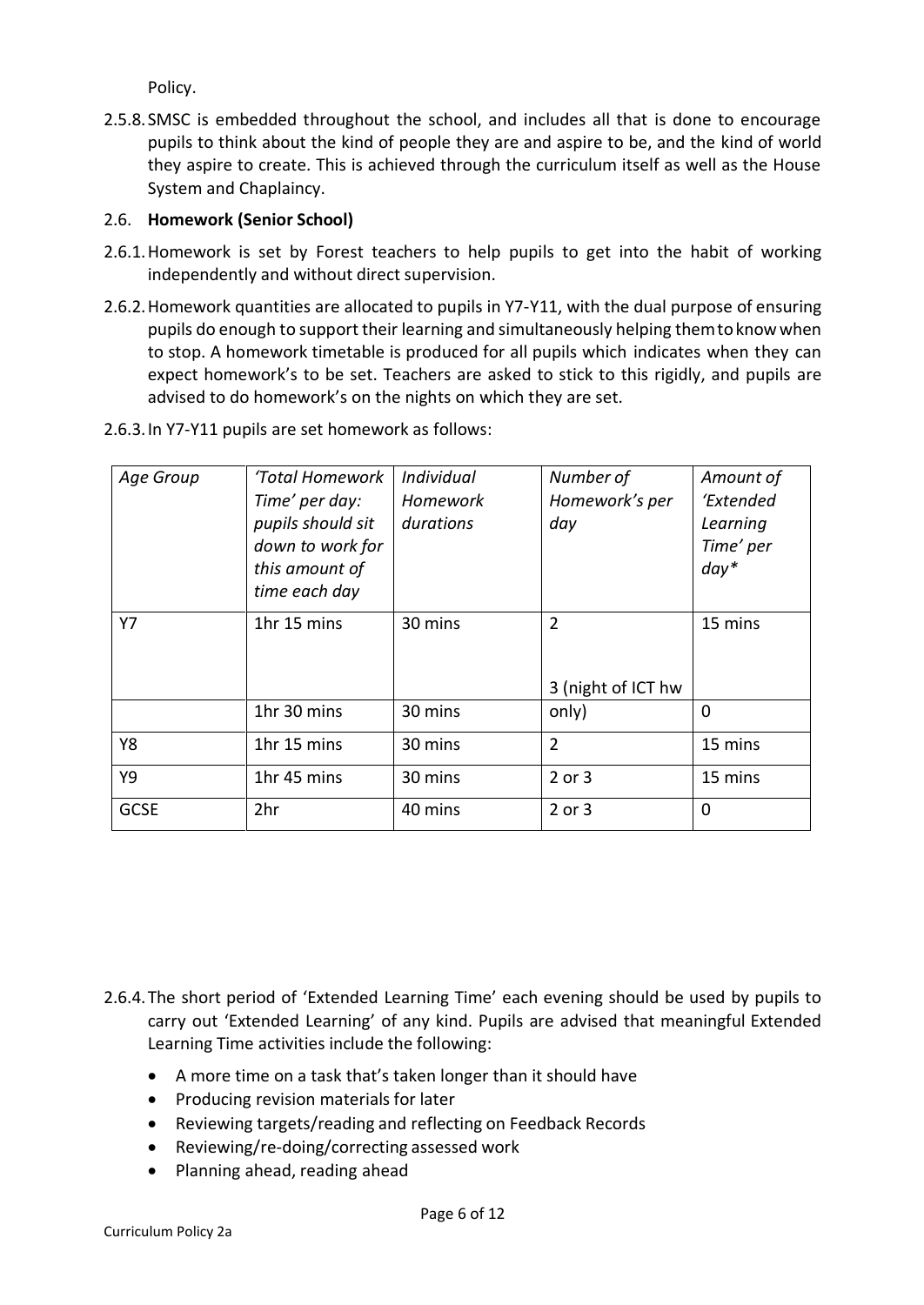Policy.

2.5.8.SMSC is embedded throughout the school, and includes all that is done to encourage pupils to think about the kind of people they are and aspire to be, and the kind of world they aspire to create. This is achieved through the curriculum itself as well as the House System and Chaplaincy.

### 2.6. **Homework (Senior School)**

- 2.6.1.Homework is set by Forest teachers to help pupils to get into the habit of working independently and without direct supervision.
- 2.6.2.Homework quantities are allocated to pupils in Y7-Y11, with the dual purpose of ensuring pupils do enough to support their learning and simultaneously helping themtoknowwhen to stop. A homework timetable is produced for all pupils which indicates when they can expect homework's to be set. Teachers are asked to stick to this rigidly, and pupils are advised to do homework's on the nights on which they are set.
- 2.6.3.In Y7-Y11 pupils are set homework as follows:

| Age Group   | 'Total Homework<br>Time' per day:<br>pupils should sit<br>down to work for<br>this amount of<br>time each day | Individual<br>Homework<br>durations | Number of<br>Homework's per<br>day   | Amount of<br>'Extended<br>Learning<br>Time' per<br>$day*$ |
|-------------|---------------------------------------------------------------------------------------------------------------|-------------------------------------|--------------------------------------|-----------------------------------------------------------|
| Y7          | 1hr 15 mins                                                                                                   | 30 mins                             | $\overline{2}$<br>3 (night of ICT hw | 15 mins                                                   |
|             | 1hr 30 mins                                                                                                   | 30 mins                             | only)                                | $\Omega$                                                  |
| Y8          | 1hr 15 mins                                                                                                   | 30 mins                             | $\overline{2}$                       | 15 mins                                                   |
| Y9          | 1hr 45 mins                                                                                                   | 30 mins                             | 2 or 3                               | 15 mins                                                   |
| <b>GCSE</b> | 2hr                                                                                                           | 40 mins                             | 2 or 3                               | $\Omega$                                                  |

2.6.4.The short period of 'Extended Learning Time' each evening should be used by pupils to carry out 'Extended Learning' of any kind. Pupils are advised that meaningful Extended Learning Time activities include the following:

- A more time on a task that's taken longer than it should have
- Producing revision materials for later
- Reviewing targets/reading and reflecting on Feedback Records
- Reviewing/re-doing/correcting assessed work
- Planning ahead, reading ahead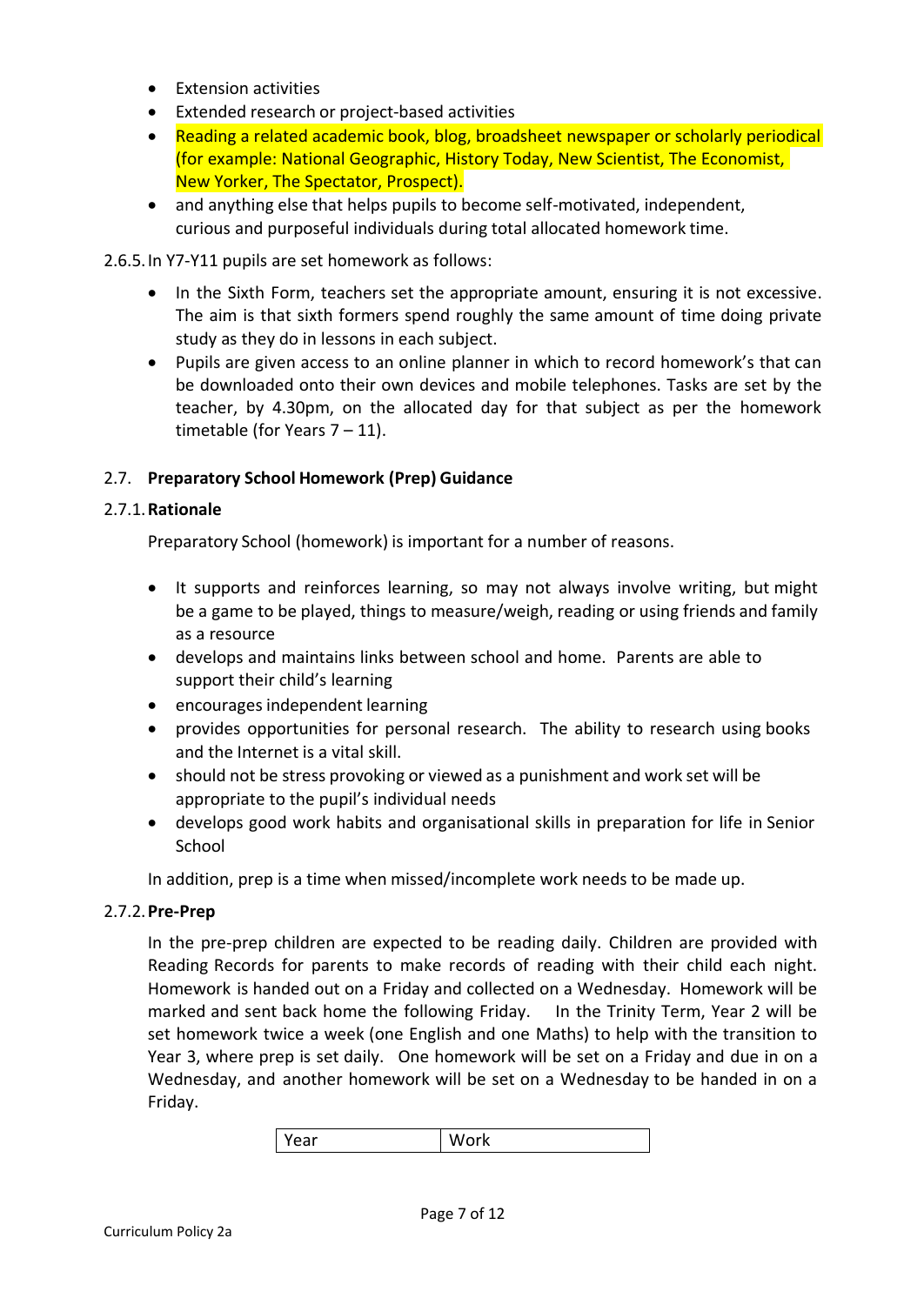- Extension activities
- Extended research or project-based activities
- Reading a related academic book, blog, broadsheet newspaper or scholarly periodical (for example: National Geographic, History Today, New Scientist, The Economist, New Yorker, The Spectator, Prospect).
- and anything else that helps pupils to become self-motivated, independent, curious and purposeful individuals during total allocated homework time.

2.6.5.In Y7-Y11 pupils are set homework as follows:

- In the Sixth Form, teachers set the appropriate amount, ensuring it is not excessive. The aim is that sixth formers spend roughly the same amount of time doing private study as they do in lessons in each subject.
- Pupils are given access to an online planner in which to record homework's that can be downloaded onto their own devices and mobile telephones. Tasks are set by the teacher, by 4.30pm, on the allocated day for that subject as per the homework timetable (for Years  $7 - 11$ ).

## 2.7. **Preparatory School Homework (Prep) Guidance**

### 2.7.1.**Rationale**

Preparatory School (homework) is important for a number of reasons.

- It supports and reinforces learning, so may not always involve writing, but might be a game to be played, things to measure/weigh, reading or using friends and family as a resource
- develops and maintains links between school and home. Parents are able to support their child's learning
- encourages independent learning
- provides opportunities for personal research. The ability to research using books and the Internet is a vital skill.
- should not be stress provoking or viewed as a punishment and work set will be appropriate to the pupil's individual needs
- develops good work habits and organisational skills in preparation for life in Senior School

In addition, prep is a time when missed/incomplete work needs to be made up.

### 2.7.2.**Pre-Prep**

In the pre-prep children are expected to be reading daily. Children are provided with Reading Records for parents to make records of reading with their child each night. Homework is handed out on a Friday and collected on a Wednesday. Homework will be marked and sent back home the following Friday. In the Trinity Term, Year 2 will be set homework twice a week (one English and one Maths) to help with the transition to Year 3, where prep is set daily. One homework will be set on a Friday and due in on a Wednesday, and another homework will be set on a Wednesday to be handed in on a Friday.

Year | Work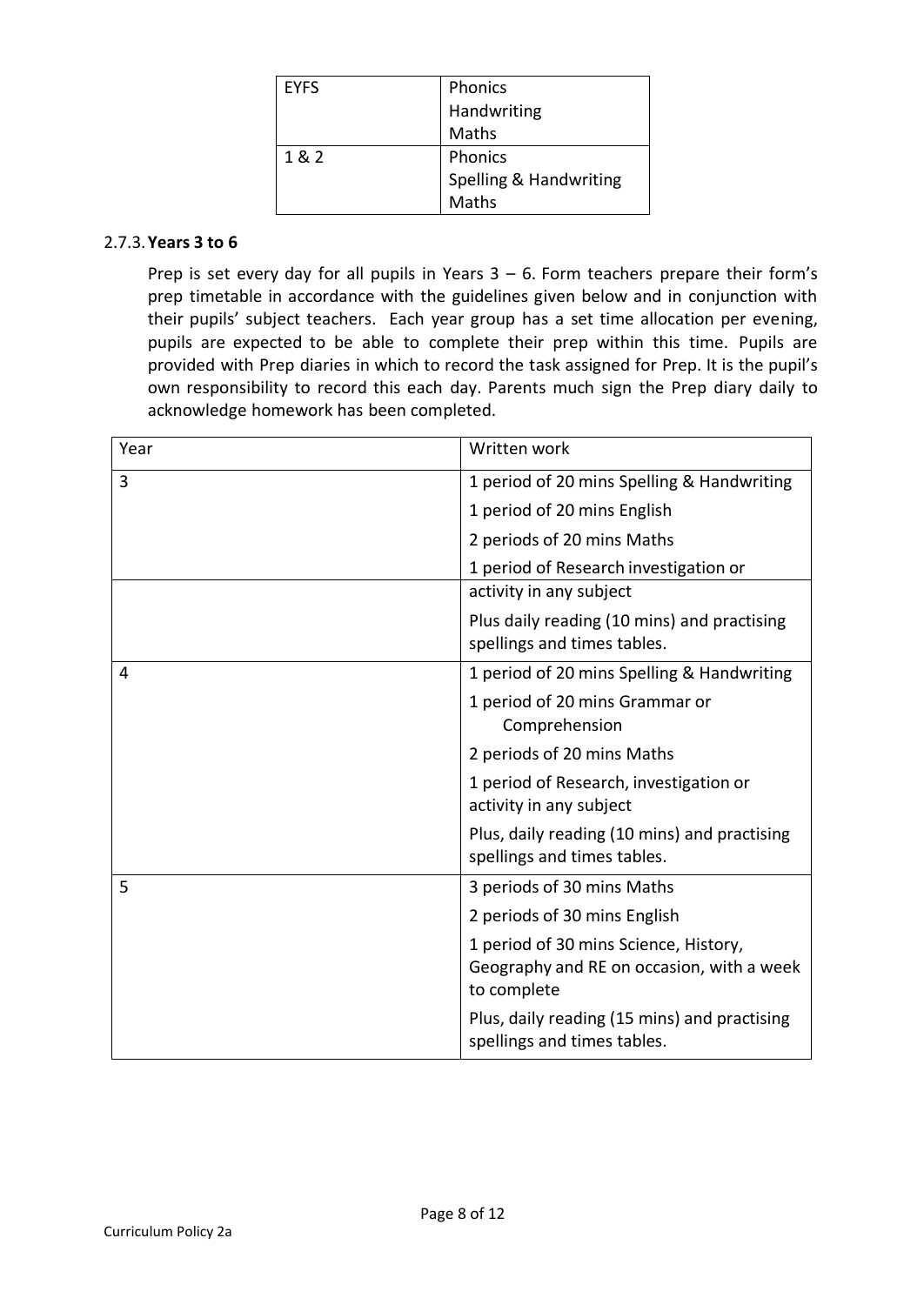| <b>EYFS</b> | Phonics                |
|-------------|------------------------|
|             | Handwriting            |
|             | Maths                  |
| 1 & 2       | Phonics                |
|             | Spelling & Handwriting |
|             | Maths                  |

#### 2.7.3.**Years 3 to 6**

Prep is set every day for all pupils in Years  $3 - 6$ . Form teachers prepare their form's prep timetable in accordance with the guidelines given below and in conjunction with their pupils' subject teachers. Each year group has a set time allocation per evening, pupils are expected to be able to complete their prep within this time. Pupils are provided with Prep diaries in which to record the task assigned for Prep. It is the pupil's own responsibility to record this each day. Parents much sign the Prep diary daily to acknowledge homework has been completed.

| Year | Written work                                                                                      |
|------|---------------------------------------------------------------------------------------------------|
| 3    | 1 period of 20 mins Spelling & Handwriting                                                        |
|      | 1 period of 20 mins English                                                                       |
|      | 2 periods of 20 mins Maths                                                                        |
|      | 1 period of Research investigation or                                                             |
|      | activity in any subject                                                                           |
|      | Plus daily reading (10 mins) and practising<br>spellings and times tables.                        |
| 4    | 1 period of 20 mins Spelling & Handwriting                                                        |
|      | 1 period of 20 mins Grammar or<br>Comprehension                                                   |
|      | 2 periods of 20 mins Maths                                                                        |
|      | 1 period of Research, investigation or<br>activity in any subject                                 |
|      | Plus, daily reading (10 mins) and practising<br>spellings and times tables.                       |
| 5    | 3 periods of 30 mins Maths                                                                        |
|      | 2 periods of 30 mins English                                                                      |
|      | 1 period of 30 mins Science, History,<br>Geography and RE on occasion, with a week<br>to complete |
|      | Plus, daily reading (15 mins) and practising<br>spellings and times tables.                       |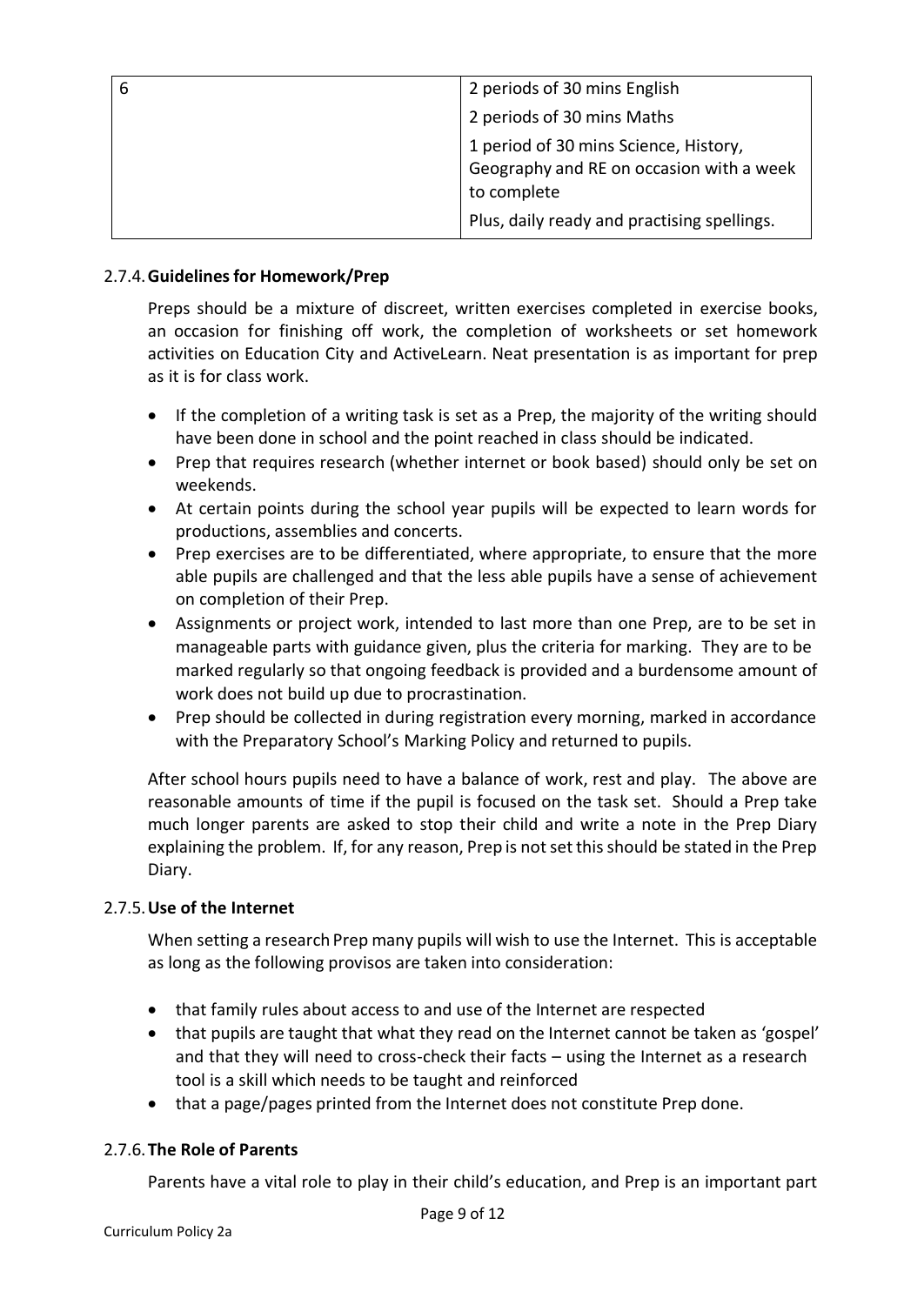| 2 periods of 30 mins English                                                                     |
|--------------------------------------------------------------------------------------------------|
| 2 periods of 30 mins Maths                                                                       |
| 1 period of 30 mins Science, History,<br>Geography and RE on occasion with a week<br>to complete |
| Plus, daily ready and practising spellings.                                                      |

## 2.7.4.**Guidelinesfor Homework/Prep**

Preps should be a mixture of discreet, written exercises completed in exercise books, an occasion for finishing off work, the completion of worksheets or set homework activities on Education City and ActiveLearn. Neat presentation is as important for prep as it is for class work.

- If the completion of a writing task is set as a Prep, the majority of the writing should have been done in school and the point reached in class should be indicated.
- Prep that requires research (whether internet or book based) should only be set on weekends.
- At certain points during the school year pupils will be expected to learn words for productions, assemblies and concerts.
- Prep exercises are to be differentiated, where appropriate, to ensure that the more able pupils are challenged and that the less able pupils have a sense of achievement on completion of their Prep.
- Assignments or project work, intended to last more than one Prep, are to be set in manageable parts with guidance given, plus the criteria for marking. They are to be marked regularly so that ongoing feedback is provided and a burdensome amount of work does not build up due to procrastination.
- Prep should be collected in during registration every morning, marked in accordance with the Preparatory School's Marking Policy and returned to pupils.

After school hours pupils need to have a balance of work, rest and play. The above are reasonable amounts of time if the pupil is focused on the task set. Should a Prep take much longer parents are asked to stop their child and write a note in the Prep Diary explaining the problem. If, for any reason, Prep is not setthis should be stated in the Prep Diary.

### 2.7.5.**Use of the Internet**

When setting a research Prep many pupils will wish to use the Internet. This is acceptable as long as the following provisos are taken into consideration:

- that family rules about access to and use of the Internet are respected
- that pupils are taught that what they read on the Internet cannot be taken as 'gospel' and that they will need to cross-check their facts – using the Internet as a research tool is a skill which needs to be taught and reinforced
- that a page/pages printed from the Internet does not constitute Prep done.

### 2.7.6.**The Role of Parents**

Parents have a vital role to play in their child's education, and Prep is an important part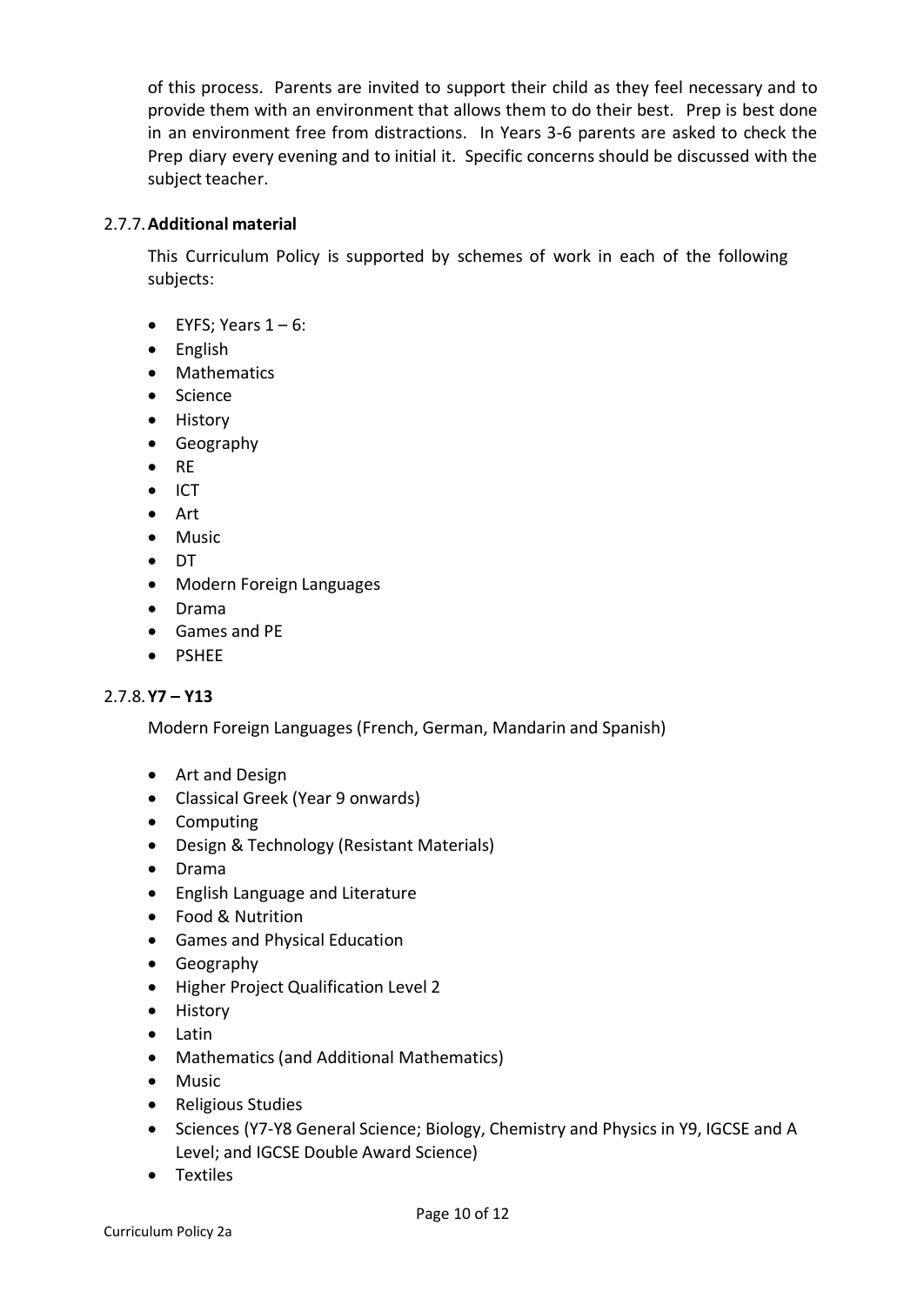of this process. Parents are invited to support their child as they feel necessary and to provide them with an environment that allows them to do their best. Prep is best done in an environment free from distractions. In Years 3-6 parents are asked to check the Prep diary every evening and to initial it. Specific concerns should be discussed with the subject teacher.

#### 2.7.7.**Additional material**

This Curriculum Policy is supported by schemes of work in each of the following subjects:

- EYFS; Years  $1 6$ :
- English
- Mathematics
- Science
- History
- Geography
- RE
- ICT
- Art
- Music
- DT
- Modern Foreign Languages
- Drama
- Games and PE
- PSHEE

#### 2.7.8.**Y7 – Y13**

Modern Foreign Languages (French, German, Mandarin and Spanish)

- Art and Design
- Classical Greek (Year 9 onwards)
- Computing
- Design & Technology (Resistant Materials)
- Drama
- English Language and Literature
- Food & Nutrition
- Games and Physical Education
- Geography
- Higher Project Qualification Level 2
- History
- Latin
- Mathematics(and Additional Mathematics)
- Music
- Religious Studies
- Sciences (Y7-Y8 General Science; Biology, Chemistry and Physics in Y9, IGCSE and A Level; and IGCSE Double Award Science)
- Textiles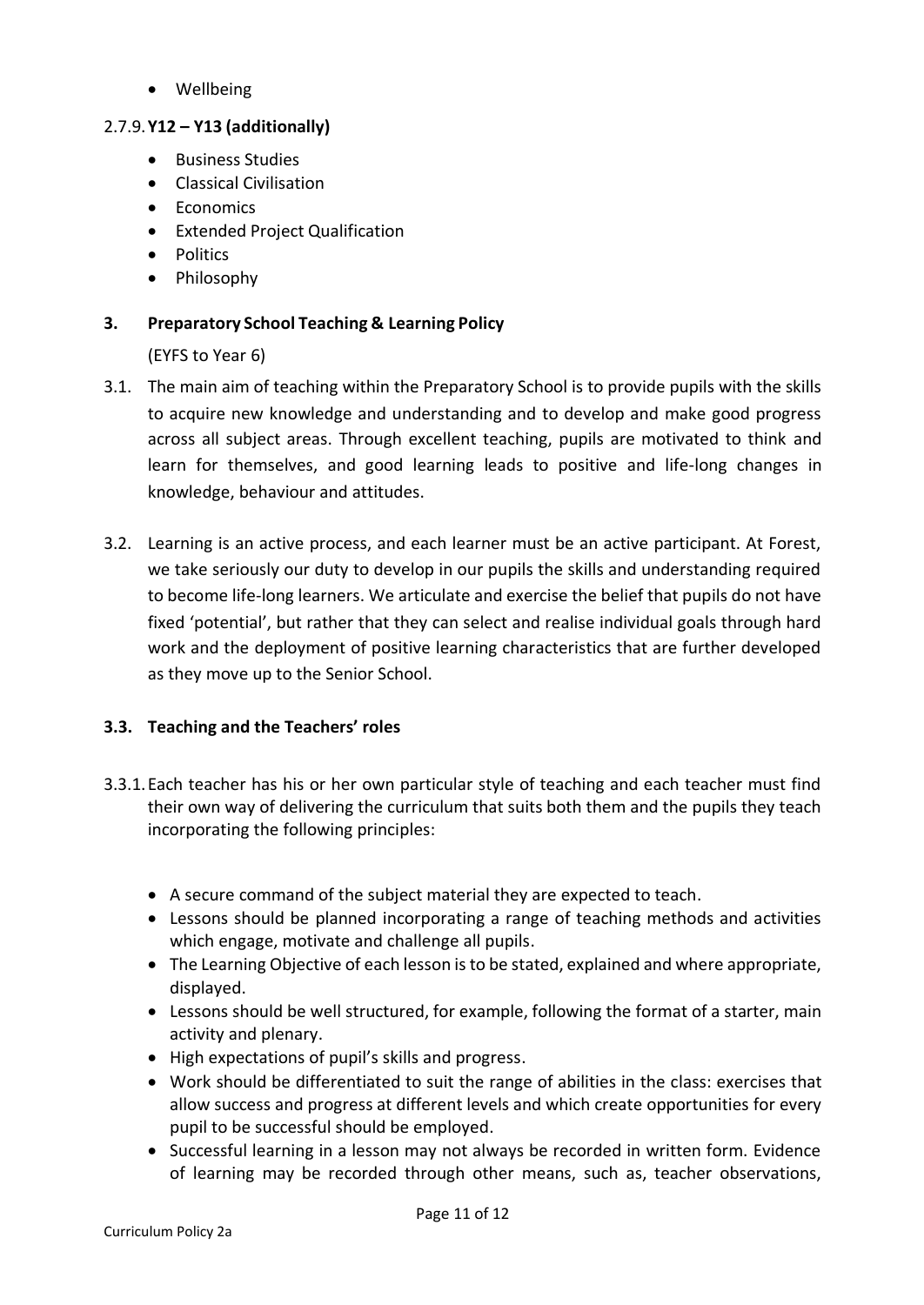• Wellbeing

### 2.7.9.**Y12 – Y13 (additionally)**

- Business Studies
- Classical Civilisation
- Economics
- Extended Project Qualification
- Politics
- Philosophy

### **3. Preparatory School Teaching & Learning Policy**

(EYFS to Year 6)

- 3.1. The main aim of teaching within the Preparatory School is to provide pupils with the skills to acquire new knowledge and understanding and to develop and make good progress across all subject areas. Through excellent teaching, pupils are motivated to think and learn for themselves, and good learning leads to positive and life-long changes in knowledge, behaviour and attitudes.
- 3.2. Learning is an active process, and each learner must be an active participant. At Forest, we take seriously our duty to develop in our pupils the skills and understanding required to become life-long learners. We articulate and exercise the belief that pupils do not have fixed 'potential', but rather that they can select and realise individual goals through hard work and the deployment of positive learning characteristics that are further developed as they move up to the Senior School.

### **3.3. Teaching and the Teachers' roles**

- 3.3.1.Each teacher has his or her own particular style of teaching and each teacher must find their own way of delivering the curriculum that suits both them and the pupils they teach incorporating the following principles:
	- A secure command of the subject material they are expected to teach.
	- Lessons should be planned incorporating a range of teaching methods and activities which engage, motivate and challenge all pupils.
	- The Learning Objective of each lesson is to be stated, explained and where appropriate, displayed.
	- Lessons should be well structured, for example, following the format of a starter, main activity and plenary.
	- High expectations of pupil's skills and progress.
	- Work should be differentiated to suit the range of abilities in the class: exercises that allow success and progress at different levels and which create opportunities for every pupil to be successful should be employed.
	- Successful learning in a lesson may not always be recorded in written form. Evidence of learning may be recorded through other means, such as, teacher observations,